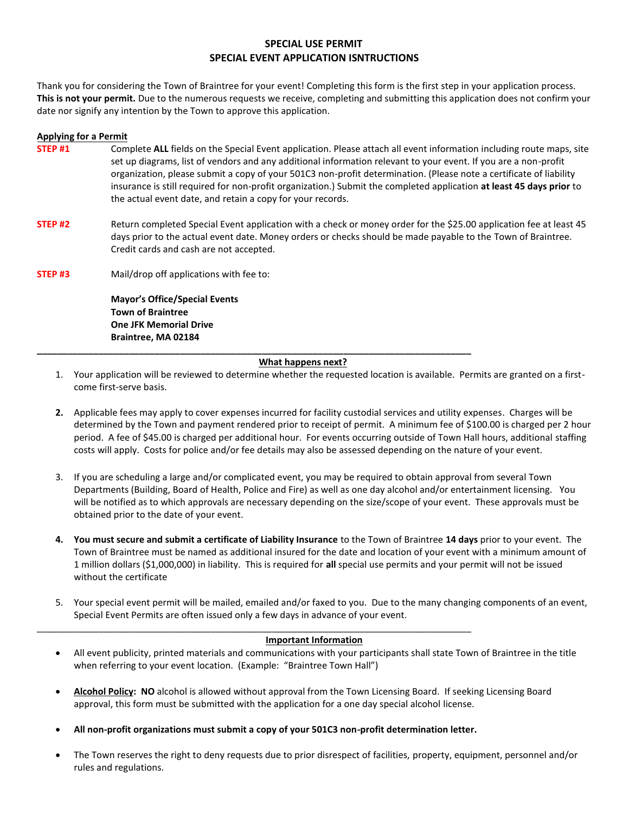### **SPECIAL USE PERMIT SPECIAL EVENT APPLICATION ISNTRUCTIONS**

Thank you for considering the Town of Braintree for your event! Completing this form is the first step in your application process. **This is not your permit.** Due to the numerous requests we receive, completing and submitting this application does not confirm your date nor signify any intention by the Town to approve this application.

#### **Applying for a Permit**

- **STEP #1** Complete ALL fields on the Special Event application. Please attach all event information including route maps, site set up diagrams, list of vendors and any additional information relevant to your event. If you are a non-profit organization, please submit a copy of your 501C3 non-profit determination. (Please note a certificate of liability insurance is still required for non-profit organization.) Submit the completed application **at least 45 days prior** to the actual event date, and retain a copy for your records.
- **STEP #2** Return completed Special Event application with a check or money order for the \$25.00 application fee at least 45 days prior to the actual event date. Money orders or checks should be made payable to the Town of Braintree. Credit cards and cash are not accepted.
- **STEP #3** Mail/drop off applications with fee to:

**Mayor's Office/Special Events Town of Braintree One JFK Memorial Drive Braintree, MA 02184** 

#### **What happens next?**

**\_\_\_\_\_\_\_\_\_\_\_\_\_\_\_\_\_\_\_\_\_\_\_\_\_\_\_\_\_\_\_\_\_\_\_\_\_\_\_\_\_\_\_\_\_\_\_\_\_\_\_\_\_\_\_\_\_\_\_\_\_\_\_\_\_\_\_\_\_\_\_\_\_\_\_\_\_\_\_\_\_\_\_\_\_** 

- 1. Your application will be reviewed to determine whether the requested location is available. Permits are granted on a firstcome first-serve basis.
- **2.** Applicable fees may apply to cover expenses incurred for facility custodial services and utility expenses. Charges will be determined by the Town and payment rendered prior to receipt of permit. A minimum fee of \$100.00 is charged per 2 hour period. A fee of \$45.00 is charged per additional hour. For events occurring outside of Town Hall hours, additional staffing costs will apply. Costs for police and/or fee details may also be assessed depending on the nature of your event.
- 3. If you are scheduling a large and/or complicated event, you may be required to obtain approval from several Town Departments (Building, Board of Health, Police and Fire) as well as one day alcohol and/or entertainment licensing. You will be notified as to which approvals are necessary depending on the size/scope of your event. These approvals must be obtained prior to the date of your event.
- **4. You must secure and submit a certificate of Liability Insurance** to the Town of Braintree **14 days** prior to your event. The Town of Braintree must be named as additional insured for the date and location of your event with a minimum amount of 1 million dollars (\$1,000,000) in liability. This is required for **all** special use permits and your permit will not be issued without the certificate
- 5. Your special event permit will be mailed, emailed and/or faxed to you. Due to the many changing components of an event, Special Event Permits are often issued only a few days in advance of your event.

#### **Important Information**

- All event publicity, printed materials and communications with your participants shall state Town of Braintree in the title when referring to your event location. (Example: "Braintree Town Hall")
- **Alcohol Policy: NO** alcohol is allowed without approval from the Town Licensing Board. If seeking Licensing Board approval, this form must be submitted with the application for a one day special alcohol license.
- **All non-profit organizations must submit a copy of your 501C3 non-profit determination letter.**

\_\_\_\_\_\_\_\_\_\_\_\_\_\_\_\_\_\_\_\_\_\_\_\_\_\_\_\_\_\_\_\_\_\_\_\_\_\_\_\_\_\_\_\_\_\_\_\_\_\_\_\_\_\_\_\_\_\_\_\_\_\_\_\_\_\_\_\_\_\_\_\_\_\_\_\_\_\_\_\_\_\_\_\_\_

 The Town reserves the right to deny requests due to prior disrespect of facilities, property, equipment, personnel and/or rules and regulations.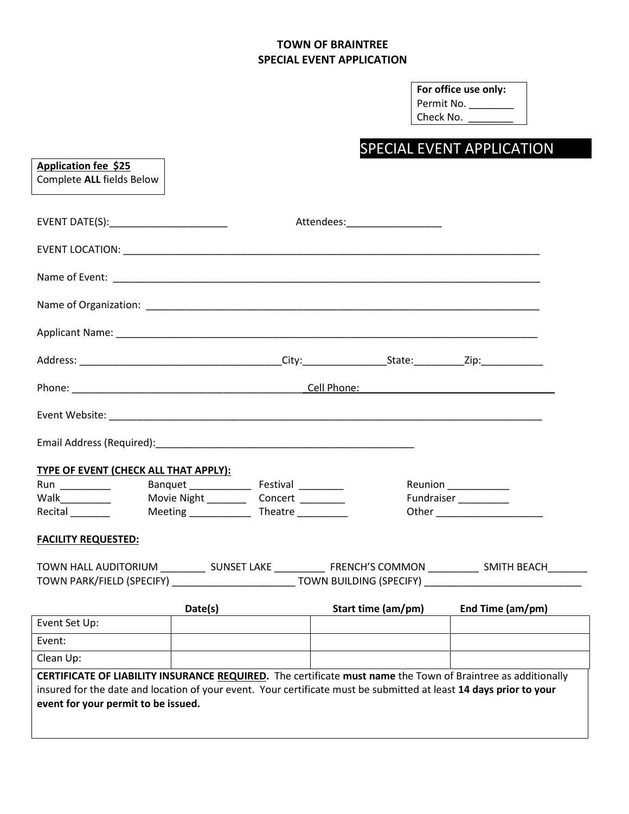## **TOWN OF BRAINTREE SPECIAL EVENT APPLICATION**

| For office use only: |
|----------------------|
| Permit No.           |
| Check No.            |

# SPECIAL EVENT APPLICATION

| <b>Application fee \$25</b><br>Complete ALL fields Below                                                                                                                                                                                                                  |                                              |                                |                                      |                                                                                                                   |
|---------------------------------------------------------------------------------------------------------------------------------------------------------------------------------------------------------------------------------------------------------------------------|----------------------------------------------|--------------------------------|--------------------------------------|-------------------------------------------------------------------------------------------------------------------|
| EVENT DATE(S):_______________________                                                                                                                                                                                                                                     |                                              | Attendees:____________________ |                                      |                                                                                                                   |
|                                                                                                                                                                                                                                                                           |                                              |                                |                                      |                                                                                                                   |
|                                                                                                                                                                                                                                                                           |                                              |                                |                                      |                                                                                                                   |
|                                                                                                                                                                                                                                                                           |                                              |                                |                                      |                                                                                                                   |
|                                                                                                                                                                                                                                                                           |                                              |                                |                                      |                                                                                                                   |
|                                                                                                                                                                                                                                                                           |                                              |                                |                                      |                                                                                                                   |
|                                                                                                                                                                                                                                                                           |                                              |                                |                                      |                                                                                                                   |
|                                                                                                                                                                                                                                                                           |                                              |                                |                                      |                                                                                                                   |
|                                                                                                                                                                                                                                                                           |                                              |                                |                                      |                                                                                                                   |
| <b>TYPE OF EVENT (CHECK ALL THAT APPLY):</b>                                                                                                                                                                                                                              |                                              |                                |                                      |                                                                                                                   |
|                                                                                                                                                                                                                                                                           |                                              |                                | Reunion _____________                |                                                                                                                   |
| Walk _________                                                                                                                                                                                                                                                            | Movie Night _____________Concert ___________ |                                | Fundraiser <sub>_________</sub> ____ |                                                                                                                   |
|                                                                                                                                                                                                                                                                           |                                              |                                |                                      |                                                                                                                   |
| <b>FACILITY REQUESTED:</b>                                                                                                                                                                                                                                                |                                              |                                |                                      |                                                                                                                   |
|                                                                                                                                                                                                                                                                           |                                              |                                |                                      | TOWN HALL AUDITORIUM ______________ SUNSET LAKE _______________ FRENCH'S COMMON _____________ SMITH BEACH________ |
|                                                                                                                                                                                                                                                                           |                                              |                                |                                      | TOWN PARK/FIELD (SPECIFY) ______________________________TOWN BUILDING (SPECIFY) ______________________________    |
|                                                                                                                                                                                                                                                                           | Date(s)                                      |                                |                                      | Start time (am/pm) End Time (am/pm)                                                                               |
| Event Set Up:                                                                                                                                                                                                                                                             |                                              |                                |                                      |                                                                                                                   |
| Event:                                                                                                                                                                                                                                                                    |                                              |                                |                                      |                                                                                                                   |
| Clean Up:                                                                                                                                                                                                                                                                 |                                              |                                |                                      |                                                                                                                   |
| CERTIFICATE OF LIABILITY INSURANCE REQUIRED. The certificate must name the Town of Braintree as additionally<br>insured for the date and location of your event. Your certificate must be submitted at least 14 days prior to your<br>event for your permit to be issued. |                                              |                                |                                      |                                                                                                                   |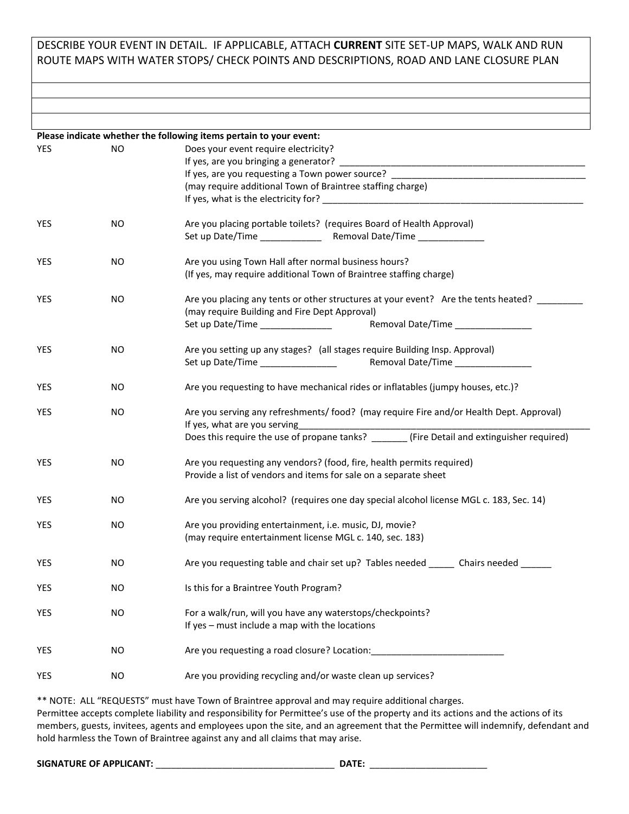## DESCRIBE YOUR EVENT IN DETAIL. IF APPLICABLE, ATTACH **CURRENT** SITE SET-UP MAPS, WALK AND RUN ROUTE MAPS WITH WATER STOPS/ CHECK POINTS AND DESCRIPTIONS, ROAD AND LANE CLOSURE PLAN

**Please indicate whether the following items pertain to your event:**  YES NO Does your event require electricity? If yes, are you bringing a generator? If yes, are you requesting a Town power source? (may require additional Town of Braintree staffing charge) If yes, what is the electricity for? YES NO Are you placing portable toilets? (requires Board of Health Approval) Set up Date/Time \_\_\_\_\_\_\_\_\_\_\_\_ Removal Date/Time \_\_\_\_\_\_\_\_\_\_\_\_\_ YES NO Are you using Town Hall after normal business hours? (If yes, may require additional Town of Braintree staffing charge) YES NO Are you placing any tents or other structures at your event? Are the tents heated? \_\_\_\_\_\_ (may require Building and Fire Dept Approval) Set up Date/Time \_\_\_\_\_\_\_\_\_\_\_\_\_\_ Removal Date/Time \_\_\_\_\_\_\_\_\_\_\_\_\_\_\_ YES NO Are you setting up any stages? (all stages require Building Insp. Approval) Set up Date/Time \_\_\_\_\_\_\_\_\_\_\_\_\_\_\_ Removal Date/Time \_\_\_\_\_\_\_\_\_\_\_\_\_\_\_ YES NO Are you requesting to have mechanical rides or inflatables (jumpy houses, etc.)? YES NO Are you serving any refreshments/ food? (may require Fire and/or Health Dept. Approval) If yes, what are you serving Does this require the use of propane tanks? (Fire Detail and extinguisher required) YES NO Are you requesting any vendors? (food, fire, health permits required) Provide a list of vendors and items for sale on a separate sheet YES NO Are you serving alcohol? (requires one day special alcohol license MGL c. 183, Sec. 14) YES NO Are you providing entertainment, i.e. music, DJ, movie? (may require entertainment license MGL c. 140, sec. 183) YES NO Are you requesting table and chair set up? Tables needed Chairs needed YES NO Is this for a Braintree Youth Program? YES NO For a walk/run, will you have any waterstops/checkpoints? If yes – must include a map with the locations YES NO Requesting a road closure? Location: YES NO Are you providing recycling and/or waste clean up services?

\*\* NOTE: ALL "REQUESTS" must have Town of Braintree approval and may require additional charges.

Permittee accepts complete liability and responsibility for Permittee's use of the property and its actions and the actions of its members, guests, invitees, agents and employees upon the site, and an agreement that the Permittee will indemnify, defendant and hold harmless the Town of Braintree against any and all claims that may arise.